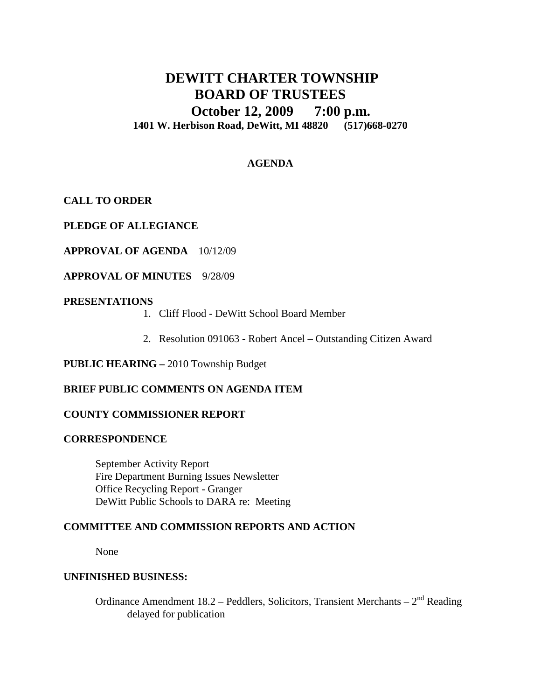# **DEWITT CHARTER TOWNSHIP BOARD OF TRUSTEES October 12, 2009 7:00 p.m. 1401 W. Herbison Road, DeWitt, MI 48820 (517)668-0270**

## **AGENDA**

**CALL TO ORDER**

**PLEDGE OF ALLEGIANCE**

**APPROVAL OF AGENDA** 10/12/09

**APPROVAL OF MINUTES** 9/28/09

### **PRESENTATIONS**

- 1. Cliff Flood DeWitt School Board Member
- 2. Resolution 091063 Robert Ancel Outstanding Citizen Award

**PUBLIC HEARING –** 2010 Township Budget

## **BRIEF PUBLIC COMMENTS ON AGENDA ITEM**

### **COUNTY COMMISSIONER REPORT**

### **CORRESPONDENCE**

September Activity Report Fire Department Burning Issues Newsletter Office Recycling Report - Granger DeWitt Public Schools to DARA re: Meeting

### **COMMITTEE AND COMMISSION REPORTS AND ACTION**

None

### **UNFINISHED BUSINESS:**

Ordinance Amendment 18.2 – Peddlers, Solicitors, Transient Merchants –  $2<sup>nd</sup>$  Reading delayed for publication